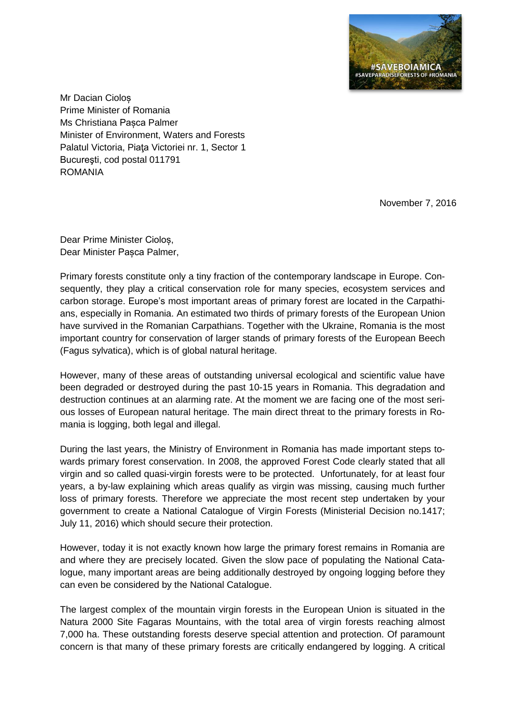

Mr Dacian Cioloș Prime Minister of Romania Ms Christiana Pasca Palmer Minister of Environment, Waters and Forests Palatul Victoria, Piaţa Victoriei nr. 1, Sector 1 Bucureşti, cod postal 011791 ROMANIA

November 7, 2016

Dear Prime Minister Cioloș, Dear Minister Pașca Palmer,

Primary forests constitute only a tiny fraction of the contemporary landscape in Europe. Consequently, they play a critical conservation role for many species, ecosystem services and carbon storage. Europe's most important areas of primary forest are located in the Carpathians, especially in Romania. An estimated two thirds of primary forests of the European Union have survived in the Romanian Carpathians. Together with the Ukraine, Romania is the most important country for conservation of larger stands of primary forests of the European Beech (Fagus sylvatica), which is of global natural heritage.

However, many of these areas of outstanding universal ecological and scientific value have been degraded or destroyed during the past 10-15 years in Romania. This degradation and destruction continues at an alarming rate. At the moment we are facing one of the most serious losses of European natural heritage. The main direct threat to the primary forests in Romania is logging, both legal and illegal.

During the last years, the Ministry of Environment in Romania has made important steps towards primary forest conservation. In 2008, the approved Forest Code clearly stated that all virgin and so called quasi-virgin forests were to be protected. Unfortunately, for at least four years, a by-law explaining which areas qualify as virgin was missing, causing much further loss of primary forests. Therefore we appreciate the most recent step undertaken by your government to create a National Catalogue of Virgin Forests (Ministerial Decision no.1417; July 11, 2016) which should secure their protection.

However, today it is not exactly known how large the primary forest remains in Romania are and where they are precisely located. Given the slow pace of populating the National Catalogue, many important areas are being additionally destroyed by ongoing logging before they can even be considered by the National Catalogue.

The largest complex of the mountain virgin forests in the European Union is situated in the Natura 2000 Site Fagaras Mountains, with the total area of virgin forests reaching almost 7,000 ha. These outstanding forests deserve special attention and protection. Of paramount concern is that many of these primary forests are critically endangered by logging. A critical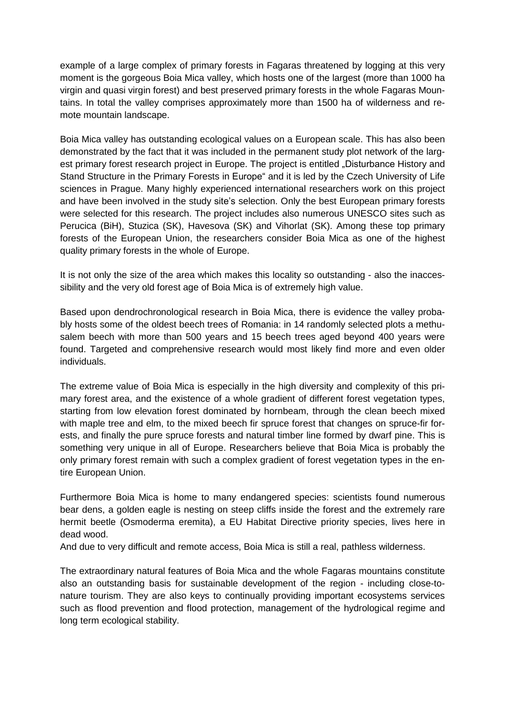example of a large complex of primary forests in Fagaras threatened by logging at this very moment is the gorgeous Boia Mica valley, which hosts one of the largest (more than 1000 ha virgin and quasi virgin forest) and best preserved primary forests in the whole Fagaras Mountains. In total the valley comprises approximately more than 1500 ha of wilderness and remote mountain landscape.

Boia Mica valley has outstanding ecological values on a European scale. This has also been demonstrated by the fact that it was included in the permanent study plot network of the largest primary forest research project in Europe. The project is entitled "Disturbance History and Stand Structure in the Primary Forests in Europe" and it is led by the Czech University of Life sciences in Prague. Many highly experienced international researchers work on this project and have been involved in the study site's selection. Only the best European primary forests were selected for this research. The project includes also numerous UNESCO sites such as Perucica (BiH), Stuzica (SK), Havesova (SK) and Vihorlat (SK). Among these top primary forests of the European Union, the researchers consider Boia Mica as one of the highest quality primary forests in the whole of Europe.

It is not only the size of the area which makes this locality so outstanding - also the inaccessibility and the very old forest age of Boia Mica is of extremely high value.

Based upon dendrochronological research in Boia Mica, there is evidence the valley probably hosts some of the oldest beech trees of Romania: in 14 randomly selected plots a methusalem beech with more than 500 years and 15 beech trees aged beyond 400 years were found. Targeted and comprehensive research would most likely find more and even older individuals.

The extreme value of Boia Mica is especially in the high diversity and complexity of this primary forest area, and the existence of a whole gradient of different forest vegetation types, starting from low elevation forest dominated by hornbeam, through the clean beech mixed with maple tree and elm, to the mixed beech fir spruce forest that changes on spruce-fir forests, and finally the pure spruce forests and natural timber line formed by dwarf pine. This is something very unique in all of Europe. Researchers believe that Boia Mica is probably the only primary forest remain with such a complex gradient of forest vegetation types in the entire European Union.

Furthermore Boia Mica is home to many endangered species: scientists found numerous bear dens, a golden eagle is nesting on steep cliffs inside the forest and the extremely rare hermit beetle (Osmoderma eremita), a EU Habitat Directive priority species, lives here in dead wood.

And due to very difficult and remote access, Boia Mica is still a real, pathless wilderness.

The extraordinary natural features of Boia Mica and the whole Fagaras mountains constitute also an outstanding basis for sustainable development of the region - including close-tonature tourism. They are also keys to continually providing important ecosystems services such as flood prevention and flood protection, management of the hydrological regime and long term ecological stability.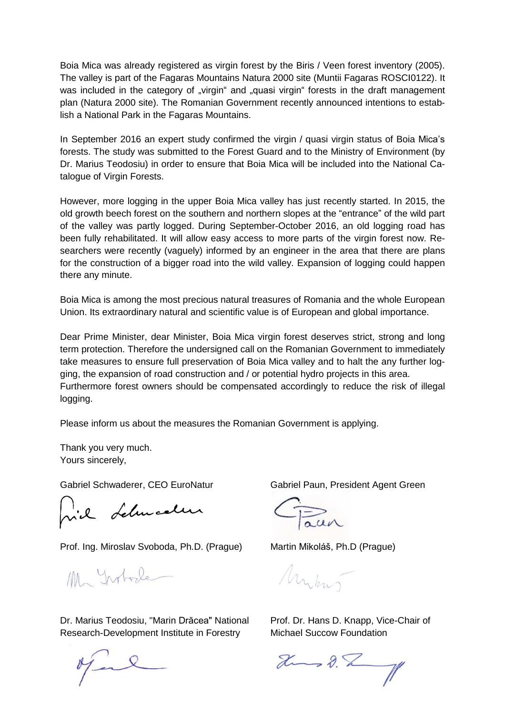Boia Mica was already registered as virgin forest by the Biris / Veen forest inventory (2005). The valley is part of the Fagaras Mountains Natura 2000 site (Muntii Fagaras ROSCI0122). It was included in the category of "virgin" and "quasi virgin" forests in the draft management plan (Natura 2000 site). The Romanian Government recently announced intentions to establish a National Park in the Fagaras Mountains.

In September 2016 an expert study confirmed the virgin / quasi virgin status of Boia Mica's forests. The study was submitted to the Forest Guard and to the Ministry of Environment (by Dr. Marius Teodosiu) in order to ensure that Boia Mica will be included into the National Catalogue of Virgin Forests.

However, more logging in the upper Boia Mica valley has just recently started. In 2015, the old growth beech forest on the southern and northern slopes at the "entrance" of the wild part of the valley was partly logged. During September-October 2016, an old logging road has been fully rehabilitated. It will allow easy access to more parts of the virgin forest now. Researchers were recently (vaguely) informed by an engineer in the area that there are plans for the construction of a bigger road into the wild valley. Expansion of logging could happen there any minute.

Boia Mica is among the most precious natural treasures of Romania and the whole European Union. Its extraordinary natural and scientific value is of European and global importance.

Dear Prime Minister, dear Minister, Boia Mica virgin forest deserves strict, strong and long term protection. Therefore the undersigned call on the Romanian Government to immediately take measures to ensure full preservation of Boia Mica valley and to halt the any further logging, the expansion of road construction and / or potential hydro projects in this area. Furthermore forest owners should be compensated accordingly to reduce the risk of illegal logging.

Please inform us about the measures the Romanian Government is applying.

Thank you very much. Yours sincerely,

vil Lelmaelen

Prof. Ing. Miroslav Svoboda, Ph.D. (Prague) Martin Mikoláš, Ph.D (Prague)

Ma Intode

Dr. Marius Teodosiu, "Marin Drăcea" National Prof. Dr. Hans D. Knapp, Vice-Chair of Research-Development Institute in Forestry Michael Succow Foundation

Gabriel Schwaderer, CEO EuroNatur Gabriel Paun, President Agent Green

Mykus

 $2 - 8 - 1$